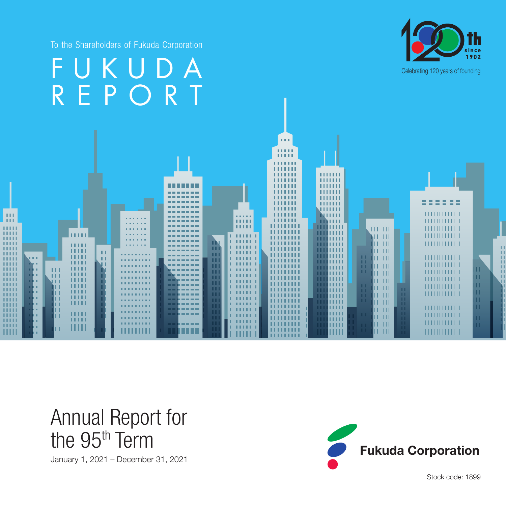To the Shareholders of Fukuda Corporation



#### FUKUDA<sup>1992</sup> REPORT  $\sim 0.01$ **COLOR** 医皮肤细胞 ш 1111111 нин m ,,,,,,, 1111111 ,,,,,,,  $111111$  $111\,$ ||||||||||||||  $11111$  $1.1\,1$ ,,,,, ш u na шш  $III$   $III$ WÜ ш NT TH ||||||||||||||  $\blacksquare$ 11111  $|||$   $|||$ ш ш ш  $|||$   $|||$ ПI шш ш **ALL 1** lu ur  $11111111111111$ **COLOR** ПL **HILL** mm шш шш шш 11 TH mm ш ш **HELL** шш нии ITE TITL 11111 шш **11111** ITE TITL mm mm ши шш  $\mathbf{H}$   $\mathbf{H}$ шш Ë шш **TELLE**  $\frac{11}{11}$   $\frac{111}{111}$ шш ши 11111 шп  $11111111111111$ шш ши **THE TELET** <u>m m</u> шш 11111 шш  $111111111111111$ 11 HT ни шш Ш IT III  $\frac{1}{2}$

# Annual Report for the 95<sup>th</sup> Term

January 1, 2021 – December 31, 2021



Stock code: 1899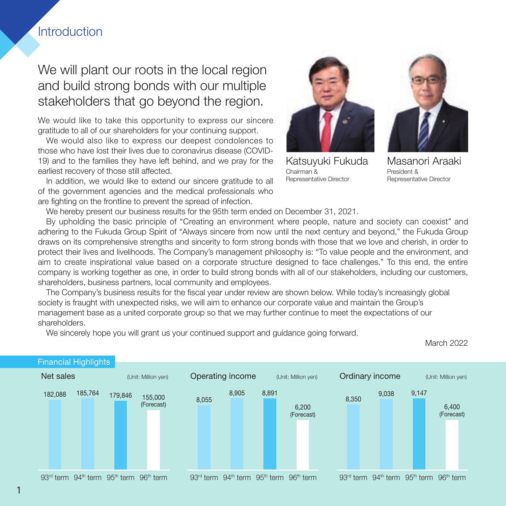# **Introduction**

# We will plant our roots in the local region and build strong bonds with our multiple stakeholders that go beyond the region.

We would like to take this opportunity to express our sincere gratitude to all of our shareholders for your continuing support.

We would also like to express our deepest condolences to those who have lost their lives due to coronavirus disease (COVID-19) and to the families they have left behind, and we pray for the earliest recovery of those still affected.

In addition, we would like to extend our sincere gratitude to all of the government agencies and the medical professionals who are fighting on the frontline to prevent the spread of infection.



Katsuyuki Fukuda Chairman & Representative Director



Masanori Araaki President & Representative Director

We hereby present our business results for the 95th term ended on December 31, 2021.

By upholding the basic principle of "Creating an environment where people, nature and society can coexist" and adhering to the Fukuda Group Spirit of "Always sincere from now until the next century and beyond," the Fukuda Group draws on its comprehensive strengths and sincerity to form strong bonds with those that we love and cherish, in order to protect their lives and livelihoods. The Company's management philosophy is: "To value people and the environment, and aim to create inspirational value based on a corporate structure designed to face challenges." To this end, the entire company is working together as one, in order to build strong bonds with all of our stakeholders, including our customers, shareholders, business partners, local community and employees.

The Company's business results for the fiscal year under review are shown below. While today's increasingly global society is fraught with unexpected risks, we will aim to enhance our corporate value and maintain the Group's management base as a united corporate group so that we may further continue to meet the expectations of our shareholders.

We sincerely hope you will grant us your continued support and guidance going forward.



March 2022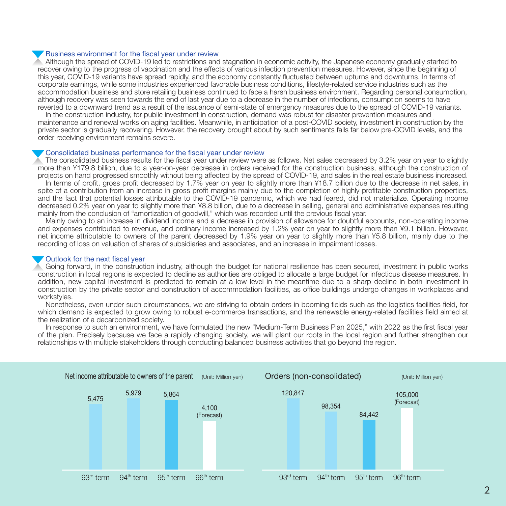#### Business environment for the fiscal year under review

Although the spread of COVID-19 led to restrictions and stagnation in economic activity, the Japanese economy gradually started to recover owing to the progress of vaccination and the effects of various infection prevention measures. However, since the beginning of this year, COVID-19 variants have spread rapidly, and the economy constantly fluctuated between upturns and downturns. In terms of corporate earnings, while some industries experienced favorable business conditions, lifestyle-related service industries such as the accommodation business and store retailing business continued to face a harsh business environment. Regarding personal consumption, although recovery was seen towards the end of last year due to a decrease in the number of infections, consumption seems to have reverted to a downward trend as a result of the issuance of semi-state of emergency measures due to the spread of COVID-19 variants.

In the construction industry, for public investment in construction, demand was robust for disaster prevention measures and maintenance and renewal works on aging facilities. Meanwhile, in anticipation of a post-COVID society, investment in construction by the private sector is gradually recovering. However, the recovery brought about by such sentiments falls far below pre-COVID levels, and the order receiving environment remains severe.

#### Consolidated business performance for the fiscal year under review

The consolidated business results for the fiscal year under review were as follows. Net sales decreased by 3.2% year on year to slightly more than ¥179.8 billion, due to a year-on-year decrease in orders received for the construction business, although the construction of projects on hand progressed smoothly without being affected by the spread of COVID-19, and sales in the real estate business increased.

In terms of profit, gross profit decreased by 1.7% year on year to slightly more than ¥18.7 billion due to the decrease in net sales, in spite of a contribution from an increase in gross profit margins mainly due to the completion of highly profitable construction properties, and the fact that potential losses attributable to the COVID-19 pandemic, which we had feared, did not materialize. Operating income decreased 0.2% year on year to slightly more than ¥8.8 billion, due to a decrease in selling, general and administrative expenses resulting mainly from the conclusion of "amortization of goodwill," which was recorded until the previous fiscal year.

Mainly owing to an increase in dividend income and a decrease in provision of allowance for doubtful accounts, non-operating income and expenses contributed to revenue, and ordinary income increased by 1.2% year on year to slightly more than ¥9.1 billion. However, net income attributable to owners of the parent decreased by 1.9% year on year to slightly more than ¥5.8 billion, mainly due to the recording of loss on valuation of shares of subsidiaries and associates, and an increase in impairment losses.

#### Outlook for the next fiscal year

Going forward, in the construction industry, although the budget for national resilience has been secured, investment in public works construction in local regions is expected to decline as authorities are obliged to allocate a large budget for infectious disease measures. In addition, new capital investment is predicted to remain at a low level in the meantime due to a sharp decline in both investment in construction by the private sector and construction of accommodation facilities, as office buildings undergo changes in workplaces and workstyles.

Nonetheless, even under such circumstances, we are striving to obtain orders in booming fields such as the logistics facilities field, for which demand is expected to grow owing to robust e-commerce transactions, and the renewable energy-related facilities field aimed at the realization of a decarbonized society.

In response to such an environment, we have formulated the new "Medium-Term Business Plan 2025," with 2022 as the first fiscal year of the plan. Precisely because we face a rapidly changing society, we will plant our roots in the local region and further strengthen our relationships with multiple stakeholders through conducting balanced business activities that go beyond the region.

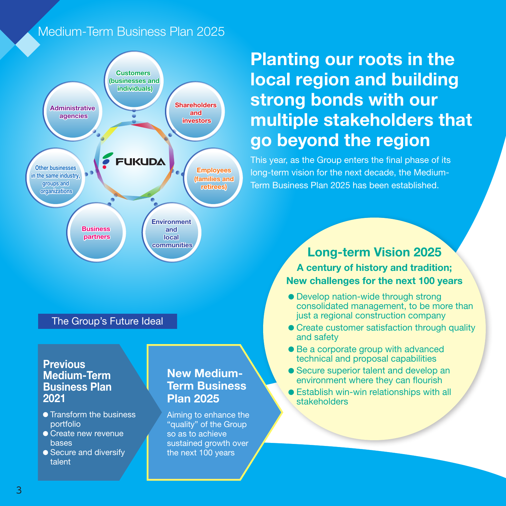# Medium-Term Business Plan 2025



### The Group's Future Ideal

# **Previous** Medium-Term Business Plan 2021

- **Transform the business** portfolio
- Create new revenue **bases**
- Secure and diversify talent

# New Medium-Term Business Plan 2025

Aiming to enhance the "quality" of the Group so as to achieve sustained growth over the next 100 years

# Planting our roots in the local region and building strong bonds with our multiple stakeholders that go beyond the region

This year, as the Group enters the final phase of its long-term vision for the next decade, the Medium-Term Business Plan 2025 has been established.

# Long-term Vision 2025

A century of history and tradition; New challenges for the next 100 years

- Develop nation-wide through strong consolidated management, to be more than just a regional construction company
- Create customer satisfaction through quality and safety
- Be a corporate group with advanced technical and proposal capabilities
- Secure superior talent and develop an environment where they can flourish
- Establish win-win relationships with all stakeholders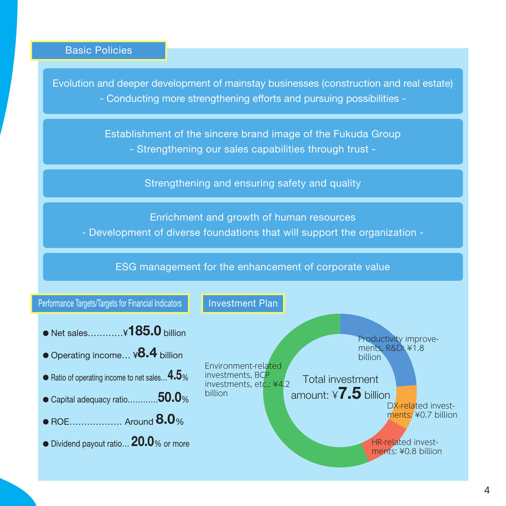# Basic Policies

Evolution and deeper development of mainstay businesses (construction and real estate) - Conducting more strengthening efforts and pursuing possibilities -

> Establishment of the sincere brand image of the Fukuda Group - Strengthening our sales capabilities through trust -

> > Strengthening and ensuring safety and quality

Enrichment and growth of human resources

- Development of diverse foundations that will support the organization -

# ESG management for the enhancement of corporate value

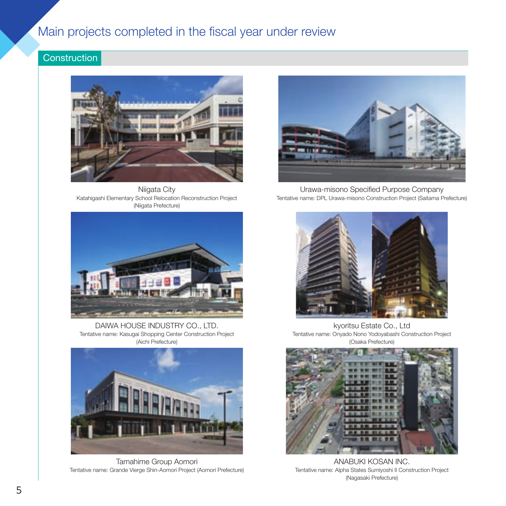# Main projects completed in the fiscal year under review

# **Construction**



Niigata City Katahigashi Elementary School Relocation Reconstruction Project (Niigata Prefecture)



DAIWA HOUSE INDUSTRY CO., LTD. Tentative name: Kasugai Shopping Center Construction Project (Aichi Prefecture)



Tamahime Group Aomori Tentative name: Grande Vierge Shin-Aomori Project (Aomori Prefecture)



Urawa-misono Specified Purpose Company Tentative name: DPL Urawa-misono Construction Project (Saitama Prefecture)



kyoritsu Estate Co., Ltd Tentative name: Onyado Nono Yodoyabashi Construction Project (Osaka Prefecture)



ANABUKI KOSAN INC. Tentative name: Alpha States Sumiyoshi II Construction Project (Nagasaki Prefecture)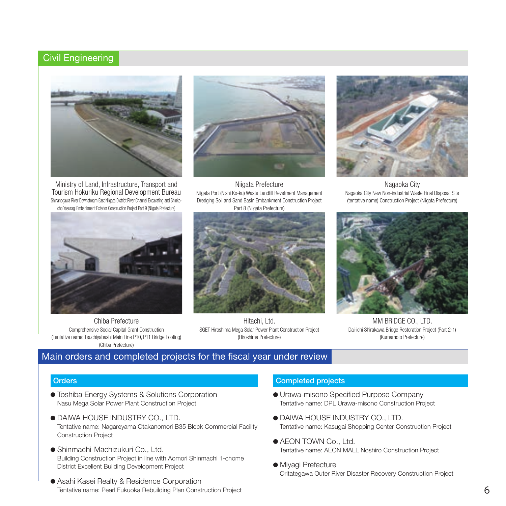### Civil Engineering



Ministry of Land, Infrastructure, Transport and Tourism Hokuriku Regional Development Bureau Shinanogawa River Downstream East Niigata District River Channel Excavating and Shinkocho Yasuragi Embankment Exterior Construction Project Part 9 (Niigata Prefecture)



Niigata Prefecture Niigata Port (Nishi Ko-ku) Waste Landfill Revetment Management Dredging Soil and Sand Basin Embankment Construction Project Part 8 (Niigata Prefecture)



Nagaoka City Nagaoka City New Non-industrial Waste Final Disposal Site (tentative name) Construction Project (Niigata Prefecture)



Chiba Prefecture Comprehensive Social Capital Grant Construction (Tentative name: Tsuchiyabashi Main Line P10, P11 Bridge Footing) (Chiba Prefecture)



Hitachi, Ltd. SGET Hiroshima Mega Solar Power Plant Construction Project (Hiroshima Prefecture)



MM BRIDGE CO., LTD. Dai-ichi Shirakawa Bridge Restoration Project (Part 2-1) (Kumamoto Prefecture)

### Main orders and completed projects for the fiscal year under review

#### **Orders**

- Toshiba Energy Systems & Solutions Corporation Nasu Mega Solar Power Plant Construction Project
- DAIWA HOUSE INDUSTRY CO., LTD. Tentative name: Nagareyama Otakanomori B35 Block Commercial Facility Construction Project
- Shinmachi-Machizukuri Co., Ltd. Building Construction Project in line with Aomori Shinmachi 1-chome District Excellent Building Development Project
- Asahi Kasei Realty & Residence Corporation Tentative name: Pearl Fukuoka Rebuilding Plan Construction Project

#### Completed projects

- Urawa-misono Specified Purpose Company Tentative name: DPL Urawa-misono Construction Project
- DAIWA HOUSE INDUSTRY CO., LTD. Tentative name: Kasugai Shopping Center Construction Project
- AEON TOWN Co., Ltd. Tentative name: AEON MALL Noshiro Construction Project
- $\bullet$  Miyagi Prefecture Oritategawa Outer River Disaster Recovery Construction Project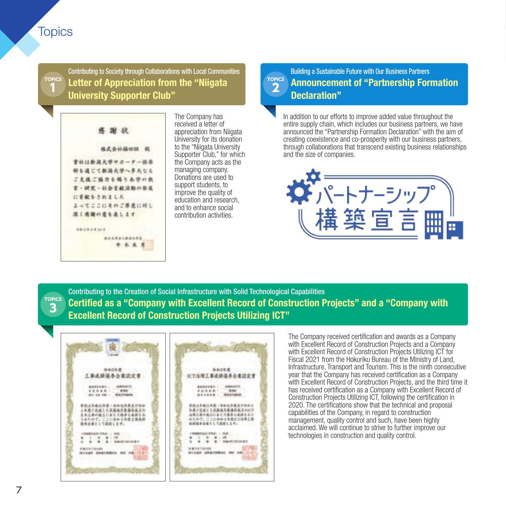# **Topics**

1

**TOPICS** Contributing to Society through Collaborations with Local Communities Letter of Appreciation from the "Niigata University Supporter Club"



The Company has received a letter of appreciation from Niigata University for its donation to the "Niigata University Supporter Club," for which the Company acts as the managing company. Donations are used to support students, to improve the quality of education and research, and to enhance social contribution activities.

#### **TOPICS** Building a Sustainable Future with Our Business Partners Announcement of "Partnership Formation Declaration"

In addition to our efforts to improve added value throughout the entire supply chain, which includes our business partners, we have announced the "Partnership Formation Declaration" with the aim of creating coexistence and co-prosperity with our business partners, through collaborations that transcend existing business relationships and the size of companies.



**TOPICS** 3 Contributing to the Creation of Social Infrastructure with Solid Technological Capabilities Certified as a "Company with Excellent Record of Construction Projects" and a "Company with Excellent Record of Construction Projects Utilizing ICT"

2



The Company received certification and awards as a Company with Excellent Record of Construction Projects and a Company with Excellent Record of Construction Projects Utilizing ICT for Fiscal 2021 from the Hokuriku Bureau of the Ministry of Land, Infrastructure, Transport and Tourism. This is the ninth consecutive year that the Company has received certification as a Company with Excellent Record of Construction Projects, and the third time it has received certification as a Company with Excellent Record of Construction Projects Utilizing ICT, following the certification in 2020. The certifications show that the technical and proposal capabilities of the Company, in regard to construction management, quality control and such, have been highly acclaimed. We will continue to strive to further improve our technologies in construction and quality control.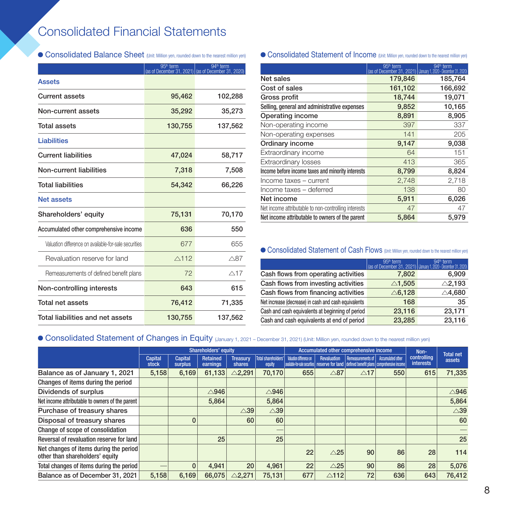# Consolidated Financial Statements

|                                                       | 95 <sup>th</sup> term | 94 <sup>th</sup> term<br>(as of December 31, 2021) (as of December 31, 2020) |  |
|-------------------------------------------------------|-----------------------|------------------------------------------------------------------------------|--|
| <b>Assets</b>                                         |                       |                                                                              |  |
| <b>Current assets</b>                                 | 95,462                | 102,288                                                                      |  |
| Non-current assets                                    | 35,292                | 35,273                                                                       |  |
| Total assets                                          | 130,755               | 137,562                                                                      |  |
| <b>Liabilities</b>                                    |                       |                                                                              |  |
| <b>Current liabilities</b>                            | 47,024                | 58,717                                                                       |  |
| Non-current liabilities                               | 7,318                 | 7,508                                                                        |  |
| Total liabilities                                     | 54,342                | 66,226                                                                       |  |
| Net assets                                            |                       |                                                                              |  |
| Shareholders' equity                                  | 75,131                | 70,170                                                                       |  |
| Accumulated other comprehensive income                | 636                   | 550                                                                          |  |
| Valuation difference on available-for-sale securities | 677                   | 655                                                                          |  |
| Revaluation reserve for land                          | $\triangle$ 112       | $\triangle$ 87                                                               |  |
| Remeasurements of defined benefit plans               | 72                    | $\triangle$ 17                                                               |  |
| Non-controlling interests                             | 643                   | 615                                                                          |  |
| Total net assets                                      | 76,412                | 71,335                                                                       |  |
| Total liabilities and net assets                      | 130,755               | 137,562                                                                      |  |

### ● Consolidated Balance Sheet (Unit: Million yen, rounded down to the nearest million yen) ● Consolidated Statement of Income (Unit: Million yen, rounded down to the nearest million yen)

|                                                      | 95 <sup>th</sup> term | 94 <sup>th</sup> term<br>(as of December 31, 2021) (January 1, 2020 - December 31, 2020) |
|------------------------------------------------------|-----------------------|------------------------------------------------------------------------------------------|
| Net sales                                            | 179,846               | 185,764                                                                                  |
| Cost of sales                                        | 161,102               | 166,692                                                                                  |
| Gross profit                                         | 18,744                | 19,071                                                                                   |
| Selling, general and administrative expenses         | 9,852                 | 10,165                                                                                   |
| Operating income                                     | 8,891                 | 8,905                                                                                    |
| Non-operating income                                 | 397                   | 337                                                                                      |
| Non-operating expenses                               | 141                   | 205                                                                                      |
| Ordinary income                                      | 9,147                 | 9,038                                                                                    |
| Extraordinary income                                 | 64                    | 151                                                                                      |
| <b>Extraordinary losses</b>                          | 413                   | 365                                                                                      |
| Income before income taxes and minority interests    | 8,799                 | 8,824                                                                                    |
| Income taxes - current                               | 2,748                 | 2,718                                                                                    |
| Income taxes - deferred                              | 138                   | 80                                                                                       |
| Net income                                           | 5,911                 | 6,026                                                                                    |
| Net income attributable to non-controlling interests | 47                    | 47                                                                                       |
| Net income attributable to owners of the parent      | 5,864                 | 5,979                                                                                    |

### **Consolidated Statement of Cash Flows** (Unit: Million yen, rounded down to the nearest million yen)

|                                                      | 95 <sup>th</sup> term. | 94 <sup>th</sup> term<br>(as of December 31, 2021) (January 1, 2020 - December 31, 2020) |
|------------------------------------------------------|------------------------|------------------------------------------------------------------------------------------|
| Cash flows from operating activities                 | 7,802                  | 6,909                                                                                    |
| Cash flows from investing activities                 | $\triangle$ 1,505      | $\triangle$ 2,193                                                                        |
| Cash flows from financing activities                 | $\triangle$ 6,128      | $\triangle$ 4,680                                                                        |
| Net increase (decrease) in cash and cash equivalents | 168                    | 35                                                                                       |
| Cash and cash equivalents at beginning of period     | 23,116                 | 23,171                                                                                   |
| Cash and cash equivalents at end of period           | 23,285                 | 23,116                                                                                   |

### **Consolidated Statement of Changes in Equity** (January 1, 2021 – December 31, 2021) (Unit: Million yen, rounded down to the nearest million yen)

|                                                                           | <b>Shareholders' equity</b> |                           |                      | Accumulated other comprehensive income |                               |                                                                 | Non-            |                                                                                    |                   |                                                               |                 |
|---------------------------------------------------------------------------|-----------------------------|---------------------------|----------------------|----------------------------------------|-------------------------------|-----------------------------------------------------------------|-----------------|------------------------------------------------------------------------------------|-------------------|---------------------------------------------------------------|-----------------|
|                                                                           | Capital<br><b>stock</b>     | <b>Capital</b><br>surplus | Retained<br>earnings | <b>Treasury</b><br>shares              | Total shareholders'<br>equity | <b>Valuation difference on</b><br>available-for-sale securities | Revaluation     | Remeasurements of I<br>reserve for land defined benefit plans comprehensive income | Accumulated other | <b>Total net</b><br>controlling<br>assets<br><i>interests</i> |                 |
| Balance as of January 1, 2021                                             | 5,158                       | 6,169                     | 61,133               | $\triangle$ 2,291                      | 70,170                        | 655                                                             | $\triangle$ 87  | $\triangle$ 17                                                                     | 550               | 615                                                           | 71,335          |
| Changes of items during the period                                        |                             |                           |                      |                                        |                               |                                                                 |                 |                                                                                    |                   |                                                               |                 |
| Dividends of surplus                                                      |                             |                           | $\triangle$ 946      |                                        | $\triangle$ 946               |                                                                 |                 |                                                                                    |                   |                                                               | $\triangle$ 946 |
| Net income attributable to owners of the parent                           |                             |                           | 5,864                |                                        | 5,864                         |                                                                 |                 |                                                                                    |                   |                                                               | 5.864           |
| Purchase of treasury shares                                               |                             |                           |                      | $\triangle 39$                         | $\triangle 39$                |                                                                 |                 |                                                                                    |                   |                                                               | $\triangle 39$  |
| Disposal of treasury shares                                               |                             | 0                         |                      | 60                                     | 60                            |                                                                 |                 |                                                                                    |                   |                                                               | 60              |
| Change of scope of consolidation                                          |                             |                           |                      |                                        |                               |                                                                 |                 |                                                                                    |                   |                                                               |                 |
| Reversal of revaluation reserve for land                                  |                             |                           | 25                   |                                        | 25                            |                                                                 |                 |                                                                                    |                   |                                                               | 25              |
| Net changes of items during the period<br>other than shareholders' equity |                             |                           |                      |                                        |                               | 22                                                              | $\triangle$ 25  | 90                                                                                 | 86                | 28                                                            | 114             |
| Total changes of items during the period                                  |                             | $\Omega$                  | 4.941                | 20                                     | 4.961                         | 22                                                              | $\triangle$ 25  | 90                                                                                 | 86                | 28                                                            | 5,076           |
| Balance as of December 31, 2021                                           | 5.158                       | 6.169                     | 66,075               | $\triangle$ 2.271                      | 75.131                        | 677                                                             | $\triangle$ 112 | 72                                                                                 | 636               | 643                                                           | 76.412          |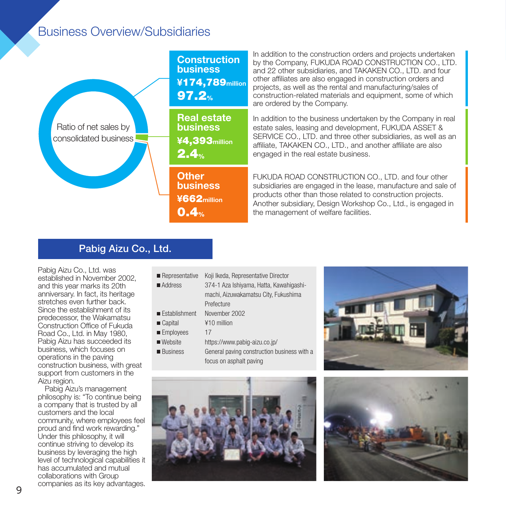# Business Overview/Subsidiaries



In addition to the construction orders and projects undertaken by the Company, FUKUDA ROAD CONSTRUCTION CO., LTD. and 22 other subsidiaries, and TAKAKEN CO., LTD. and four other affiliates are also engaged in construction orders and projects, as well as the rental and manufacturing/sales of construction-related materials and equipment, some of which are ordered by the Company.

In addition to the business undertaken by the Company in real estate sales, leasing and development, FUKUDA ASSET & SERVICE CO., LTD. and three other subsidiaries, as well as an affiliate, TAKAKEN CO., LTD., and another affiliate are also engaged in the real estate business.

FUKUDA ROAD CONSTRUCTION CO., LTD. and four other subsidiaries are engaged in the lease, manufacture and sale of products other than those related to construction projects. Another subsidiary, Design Workshop Co., Ltd., is engaged in the management of welfare facilities.

# Pabig Aizu Co., Ltd.

Pabig Aizu Co., Ltd. was established in November 2002, and this year marks its 20th anniversary. In fact, its heritage stretches even further back. Since the establishment of its predecessor, the Wakamatsu Construction Office of Fukuda Road Co., Ltd. in May 1980, Pabig Aizu has succeeded its business, which focuses on operations in the paving construction business, with great support from customers in the Aizu region.

Pabig Aizu's management philosophy is: "To continue being a company that is trusted by all customers and the local community, where employees feel proud and find work rewarding." Under this philosophy, it will continue striving to develop its business by leveraging the high level of technological capabilities it has accumulated and mutual collaborations with Group companies as its key advantages.

- Representative Koji Ikeda, Representative Director
- Address 374-1 Aza Ishiyama, Hatta, Kawahigashimachi, Aizuwakamatsu City, Fukushima Prefecture Establishment November 2002
- Capital ¥10 million
- Employees 17
- 
- Website https://www.pabig-aizu.co.jp/ ■ Business General paving construction business with a
	- focus on asphalt paving





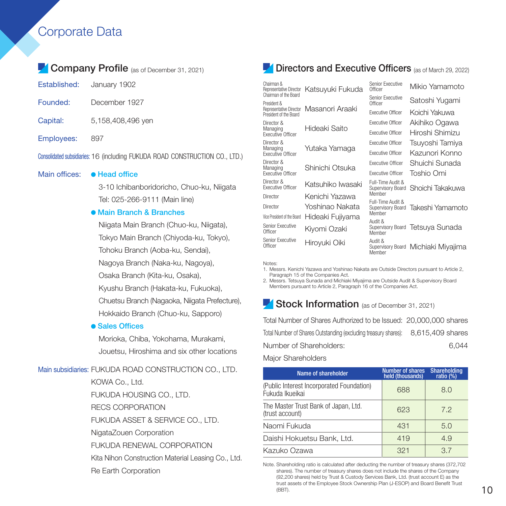# Corporate Data

# Company Profile (as of December 31, 2021)

- Founded: December 1927
- Capital: 5,158,408,496 yen
- Employees: 897

Consolidated subsidiaries: 16 (including FUKUDA ROAD CONSTRUCTION CO., LTD.)

#### Main offices: • Head office

3-10 Ichibanboridoricho, Chuo-ku, Niigata Tel: 025-266-9111 (Main line)

#### Main Branch & Branches

Niigata Main Branch (Chuo-ku, Niigata), Tokyo Main Branch (Chiyoda-ku, Tokyo), Tohoku Branch (Aoba-ku, Sendai), Nagoya Branch (Naka-ku, Nagoya), Osaka Branch (Kita-ku, Osaka), Kyushu Branch (Hakata-ku, Fukuoka),

Chuetsu Branch (Nagaoka, Niigata Prefecture), Hokkaido Branch (Chuo-ku, Sapporo)

#### **• Sales Offices**

Morioka, Chiba, Yokohama, Murakami, Jouetsu, Hiroshima and six other locations

#### Main subsidiaries: FUKUDA ROAD CONSTRUCTION CO., LTD.

KOWA Co., Ltd. FUKUDA HOUSING CO., LTD. RECS CORPORATION FUKUDA ASSET & SERVICE CO., LTD. NigataZouen Corporation FUKUDA RENEWAL CORPORATION Kita Nihon Construction Material Leasing Co., Ltd. Re Earth Corporation

### Directors and Executive Officers (as of March 29, 2022)

| Chairman &<br>Representative Director<br>Chairman of the Board | Katsuyuki Fukuda  | Senior Executive<br>Officer            | Mikio Yamamoto                   |
|----------------------------------------------------------------|-------------------|----------------------------------------|----------------------------------|
| President &                                                    |                   | Senior Executive<br>Officer            | Satoshi Yuqami                   |
| Representative Director<br>President of the Board              | Masanori Araaki   | <b>Fxecutive Officer</b>               | Koichi Yakuwa                    |
| Director &                                                     |                   | <b>Executive Officer</b>               | Akihiko Ogawa                    |
| Managing<br><b>Fxecutive Officer</b>                           | Hideaki Saito     | <b>Executive Officer</b>               | Hiroshi Shimizu                  |
| Director &                                                     |                   | <b>Executive Officer</b>               | Tsuyoshi Tamiya                  |
| Managing<br><b>Fxecutive Officer</b>                           | Yutaka Yamaqa     | <b>Executive Officer</b>               | Kazunori Konno                   |
| Director &                                                     | Shinichi Otsuka   | <b>Fxecutive Officer</b>               | Shuichi Sunada                   |
| Managing<br><b>Fxecutive Officer</b>                           |                   | <b>Fxecutive Officer</b>               | Toshio Omi                       |
| Director &<br><b>Fxecutive Officer</b>                         | Katsuhiko lwasaki | Full-Time Audit &<br>Supervisory Board | Shoichi Takakuwa                 |
| Director                                                       | Kenichi Yazawa    | Member                                 |                                  |
| Director                                                       | Yoshinao Nakata   | Full-Time Audit &<br>Supervisory Board | Takeshi Yamamoto                 |
| Vice President of the Board                                    | Hideaki Fujiyama  | Member<br>Audit &                      |                                  |
| Senior Executive<br>Officer                                    | Kiyomi Ozaki      | Member                                 | Supervisory Board Tetsuya Sunada |
| Senior Executive<br>Officer                                    | Hiroyuki Oiki     | Audit &<br>Supervisory Board<br>Member | Michiaki Miyajima                |

Notes:

1. Messrs. Kenichi Yazawa and Yoshinao Nakata are Outside Directors pursuant to Article 2, Paragraph 15 of the Companies Act.

2. Messrs. Tetsuya Sunada and Michiaki Miyajima are Outside Audit & Supervisory Board Members pursuant to Article 2, Paragraph 16 of the Companies Act.

### Stock Information (as of December 31, 2021)

Total Number of Shares Authorized to be Issued: 20,000,000 shares Total Number of Shares Outstanding (excluding treasury shares): 8,615,409 shares Number of Shareholders: 6,044 Major Shareholders

Name of shareholder Number of shares held (thousands) Shareholding<br>ratio (%) (Public Interest Incorporated Foundation) (688 (68.0)<br>Fukuda Ikueikai (68.0) The Master Trust Bank of Japan, Ltd. (trust account) 623 7.2 Naomi Fukuda 19431 - 1950 Daishi Hokuetsu Bank, Ltd. 19 419 4.9 Kazuko Ozawa  $\overline{37}$  321  $\overline{37}$ 

Note. Shareholding ratio is calculated after deducting the number of treasury shares (372,702 shares). The number of treasury shares does not include the shares of the Company (92,200 shares) held by Trust & Custody Services Bank, Ltd. (trust account E) as the trust assets of the Employee Stock Ownership Plan (J-ESOP) and Board Benefit Trust<br>(BBT).  $\sim$  10